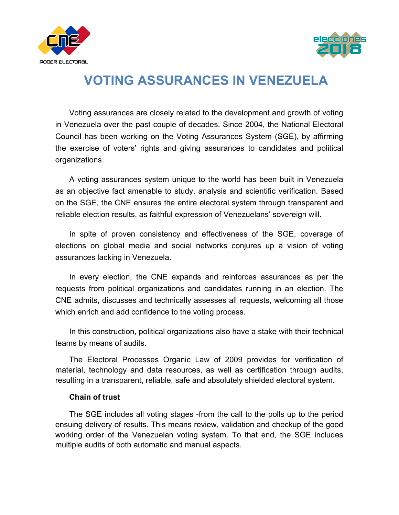



# **VOTING ASSURANCES IN VENEZUELA**

Voting assurances are closely related to the development and growth of voting in Venezuela over the past couple of decades. Since 2004, the National Electoral Council has been working on the Voting Assurances System (SGE), by affirming the exercise of voters' rights and giving assurances to candidates and political organizations.

A voting assurances system unique to the world has been built in Venezuela as an objective fact amenable to study, analysis and scientific verification. Based on the SGE, the CNE ensures the entire electoral system through transparent and reliable election results, as faithful expression of Venezuelans' sovereign will.

In spite of proven consistency and effectiveness of the SGE, coverage of elections on global media and social networks conjures up a vision of voting assurances lacking in Venezuela.

In every election, the CNE expands and reinforces assurances as per the requests from political organizations and candidates running in an election. The CNE admits, discusses and technically assesses all requests, welcoming all those which enrich and add confidence to the voting process.

In this construction, political organizations also have a stake with their technical teams by means of audits.

The Electoral Processes Organic Law of 2009 provides for verification of material, technology and data resources, as well as certification through audits, resulting in a transparent, reliable, safe and absolutely shielded electoral system.

#### **Chain of trust**

The SGE includes all voting stages -from the call to the polls up to the period ensuing delivery of results. This means review, validation and checkup of the good working order of the Venezuelan voting system. To that end, the SGE includes multiple audits of both automatic and manual aspects.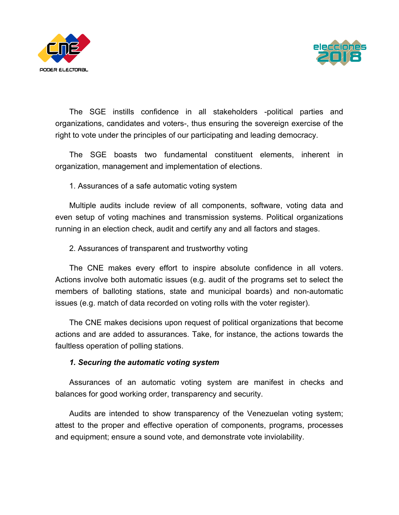



The SGE instills confidence in all stakeholders -political parties and organizations, candidates and voters-, thus ensuring the sovereign exercise of the right to vote under the principles of our participating and leading democracy.

The SGE boasts two fundamental constituent elements, inherent in organization, management and implementation of elections.

1. Assurances of a safe automatic voting system

Multiple audits include review of all components, software, voting data and even setup of voting machines and transmission systems. Political organizations running in an election check, audit and certify any and all factors and stages.

2. Assurances of transparent and trustworthy voting

The CNE makes every effort to inspire absolute confidence in all voters. Actions involve both automatic issues (e.g. audit of the programs set to select the members of balloting stations, state and municipal boards) and non-automatic issues (e.g. match of data recorded on voting rolls with the voter register).

The CNE makes decisions upon request of political organizations that become actions and are added to assurances. Take, for instance, the actions towards the faultless operation of polling stations.

## *1. Securing the automatic voting system*

Assurances of an automatic voting system are manifest in checks and balances for good working order, transparency and security.

Audits are intended to show transparency of the Venezuelan voting system; attest to the proper and effective operation of components, programs, processes and equipment; ensure a sound vote, and demonstrate vote inviolability.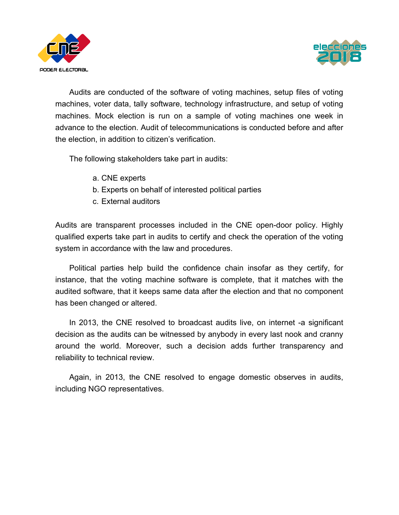



Audits are conducted of the software of voting machines, setup files of voting machines, voter data, tally software, technology infrastructure, and setup of voting machines. Mock election is run on a sample of voting machines one week in advance to the election. Audit of telecommunications is conducted before and after the election, in addition to citizen's verification.

The following stakeholders take part in audits:

- a. CNE experts
- b. Experts on behalf of interested political parties
- c. External auditors

Audits are transparent processes included in the CNE open-door policy. Highly qualified experts take part in audits to certify and check the operation of the voting system in accordance with the law and procedures.

Political parties help build the confidence chain insofar as they certify, for instance, that the voting machine software is complete, that it matches with the audited software, that it keeps same data after the election and that no component has been changed or altered.

In 2013, the CNE resolved to broadcast audits live, on internet -a significant decision as the audits can be witnessed by anybody in every last nook and cranny around the world. Moreover, such a decision adds further transparency and reliability to technical review.

Again, in 2013, the CNE resolved to engage domestic observes in audits, including NGO representatives.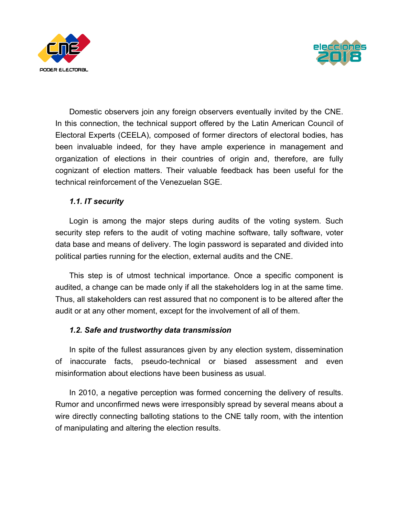



Domestic observers join any foreign observers eventually invited by the CNE. In this connection, the technical support offered by the Latin American Council of Electoral Experts (CEELA), composed of former directors of electoral bodies, has been invaluable indeed, for they have ample experience in management and organization of elections in their countries of origin and, therefore, are fully cognizant of election matters. Their valuable feedback has been useful for the technical reinforcement of the Venezuelan SGE.

## *1.1. IT security*

Login is among the major steps during audits of the voting system. Such security step refers to the audit of voting machine software, tally software, voter data base and means of delivery. The login password is separated and divided into political parties running for the election, external audits and the CNE.

This step is of utmost technical importance. Once a specific component is audited, a change can be made only if all the stakeholders log in at the same time. Thus, all stakeholders can rest assured that no component is to be altered after the audit or at any other moment, except for the involvement of all of them.

## *1.2. Safe and trustworthy data transmission*

In spite of the fullest assurances given by any election system, dissemination of inaccurate facts, pseudo-technical or biased assessment and even misinformation about elections have been business as usual.

In 2010, a negative perception was formed concerning the delivery of results. Rumor and unconfirmed news were irresponsibly spread by several means about a wire directly connecting balloting stations to the CNE tally room, with the intention of manipulating and altering the election results.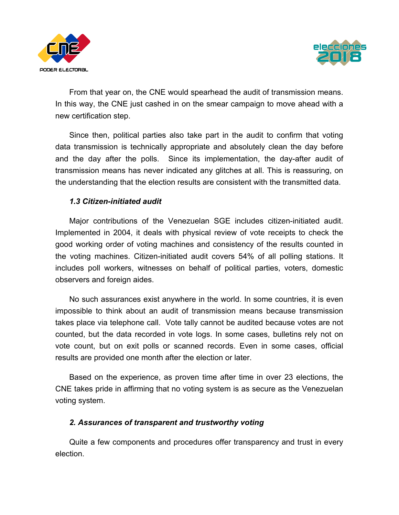



From that year on, the CNE would spearhead the audit of transmission means. In this way, the CNE just cashed in on the smear campaign to move ahead with a new certification step.

Since then, political parties also take part in the audit to confirm that voting data transmission is technically appropriate and absolutely clean the day before and the day after the polls. Since its implementation, the day-after audit of transmission means has never indicated any glitches at all. This is reassuring, on the understanding that the election results are consistent with the transmitted data.

## *1.3 Citizen-initiated audit*

Major contributions of the Venezuelan SGE includes citizen-initiated audit. Implemented in 2004, it deals with physical review of vote receipts to check the good working order of voting machines and consistency of the results counted in the voting machines. Citizen-initiated audit covers 54% of all polling stations. It includes poll workers, witnesses on behalf of political parties, voters, domestic observers and foreign aides.

No such assurances exist anywhere in the world. In some countries, it is even impossible to think about an audit of transmission means because transmission takes place via telephone call. Vote tally cannot be audited because votes are not counted, but the data recorded in vote logs. In some cases, bulletins rely not on vote count, but on exit polls or scanned records. Even in some cases, official results are provided one month after the election or later.

Based on the experience, as proven time after time in over 23 elections, the CNE takes pride in affirming that no voting system is as secure as the Venezuelan voting system.

#### *2. Assurances of transparent and trustworthy voting*

Quite a few components and procedures offer transparency and trust in every election.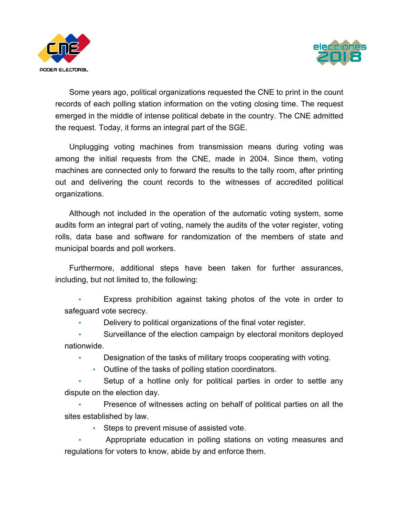



Some years ago, political organizations requested the CNE to print in the count records of each polling station information on the voting closing time. The request emerged in the middle of intense political debate in the country. The CNE admitted the request. Today, it forms an integral part of the SGE.

Unplugging voting machines from transmission means during voting was among the initial requests from the CNE, made in 2004. Since them, voting machines are connected only to forward the results to the tally room, after printing out and delivering the count records to the witnesses of accredited political organizations.

Although not included in the operation of the automatic voting system, some audits form an integral part of voting, namely the audits of the voter register, voting rolls, data base and software for randomization of the members of state and municipal boards and poll workers.

Furthermore, additional steps have been taken for further assurances, including, but not limited to, the following:

Express prohibition against taking photos of the vote in order to safeguard vote secrecy.

• Delivery to political organizations of the final voter register.

• Surveillance of the election campaign by electoral monitors deployed nationwide.

- Designation of the tasks of military troops cooperating with voting.
	- Outline of the tasks of polling station coordinators.

Setup of a hotline only for political parties in order to settle any dispute on the election day.

• Presence of witnesses acting on behalf of political parties on all the sites established by law.

• Steps to prevent misuse of assisted vote.

• Appropriate education in polling stations on voting measures and regulations for voters to know, abide by and enforce them.